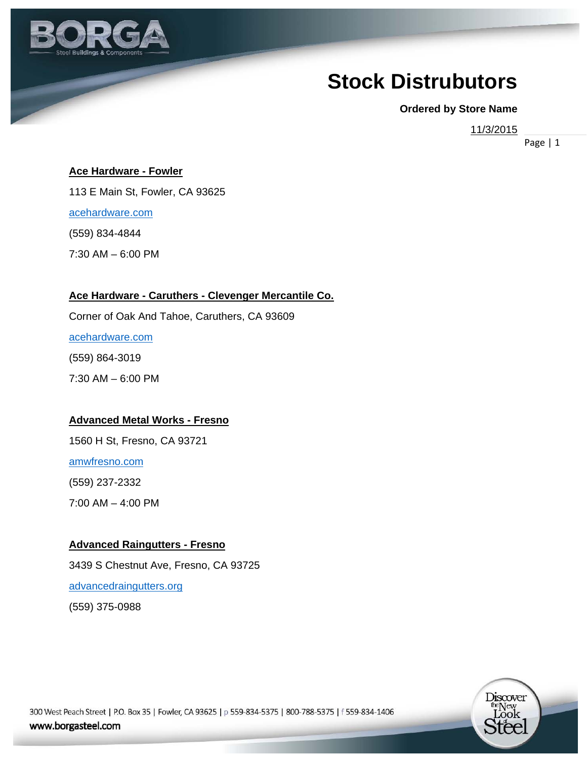

# **Stock Distrubutors**

**Ordered by Store Name** 

11/3/2015

Page | 1

#### **Ace Hardware - Fowler**

113 E Main St, Fowler, CA 93625

acehardware.com

(559) 834-4844

7:30 AM – 6:00 PM

#### **Ace Hardware - Caruthers - Clevenger Mercantile Co.**

Corner of Oak And Tahoe, Caruthers, CA 93609

acehardware.com

(559) 864-3019

7:30 AM – 6:00 PM

#### **Advanced Metal Works - Fresno**

1560 H St, Fresno, CA 93721

amwfresno.com

(559) 237-2332

7:00 AM – 4:00 PM

#### **Advanced Raingutters - Fresno**

3439 S Chestnut Ave, Fresno, CA 93725

advancedraingutters.org

(559) 375-0988

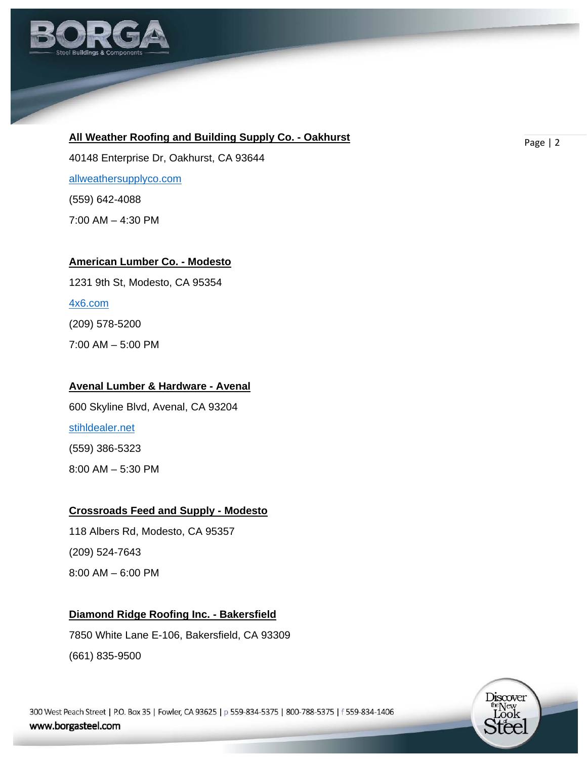

# **All Weather Roofing and Building Supply Co. - Oakhurst Measure Accept Accept Accept Accept Accept Accept Accept**

40148 Enterprise Dr, Oakhurst, CA 93644 allweathersupplyco.com (559) 642-4088 7:00 AM – 4:30 PM

#### **American Lumber Co. - Modesto**

1231 9th St, Modesto, CA 95354

#### 4x6.com

(209) 578-5200

7:00 AM – 5:00 PM

#### **Avenal Lumber & Hardware - Avenal**

600 Skyline Blvd, Avenal, CA 93204 stihldealer.net (559) 386-5323 8:00 AM – 5:30 PM

#### **Crossroads Feed and Supply - Modesto**

118 Albers Rd, Modesto, CA 95357 (209) 524-7643 8:00 AM – 6:00 PM

# **Diamond Ridge Roofing Inc. - Bakersfield**

7850 White Lane E-106, Bakersfield, CA 93309 (661) 835-9500

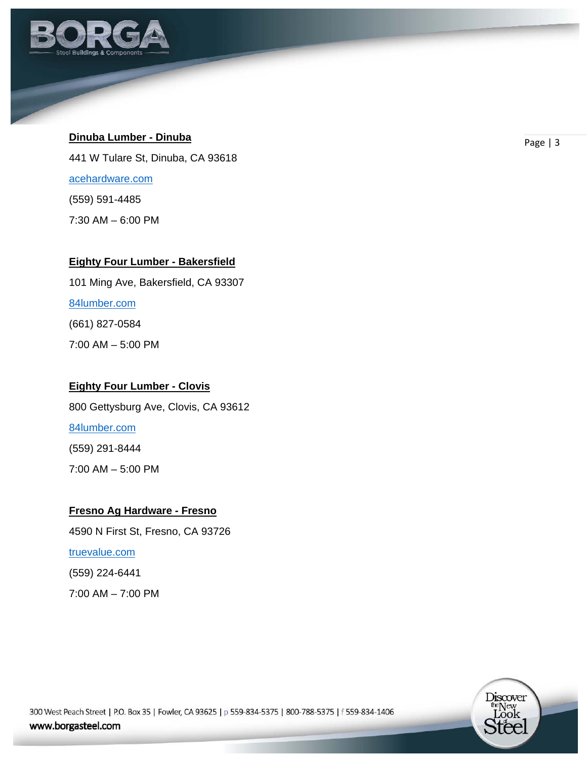

# **Dinuba Lumber - Dinuba Dinuba Page | 3**

441 W Tulare St, Dinuba, CA 93618

acehardware.com

(559) 591-4485

7:30 AM – 6:00 PM

# **Eighty Four Lumber - Bakersfield**

101 Ming Ave, Bakersfield, CA 93307

84lumber.com

(661) 827-0584

7:00 AM – 5:00 PM

# **Eighty Four Lumber - Clovis**

800 Gettysburg Ave, Clovis, CA 93612

84lumber.com

(559) 291-8444

7:00 AM – 5:00 PM

# **Fresno Ag Hardware - Fresno**

4590 N First St, Fresno, CA 93726

# truevalue.com

(559) 224-6441

7:00 AM – 7:00 PM

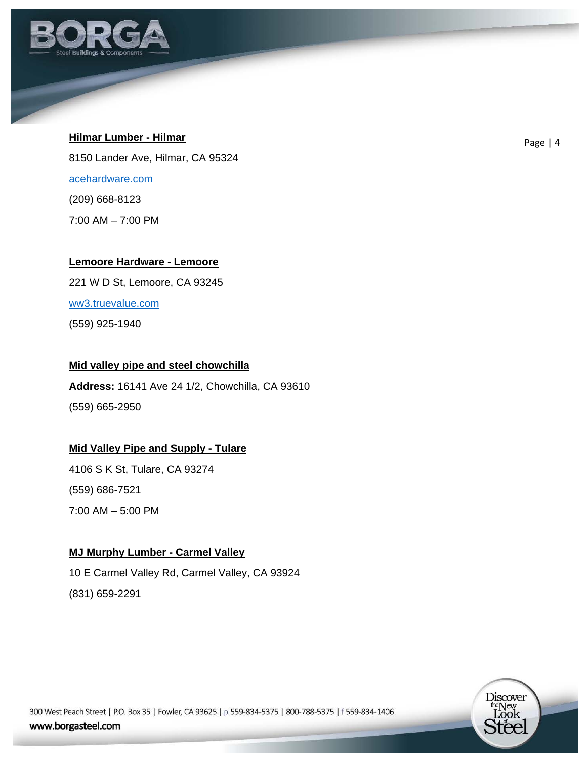

# **Hilmar Lumber - Hilmar Contract Contract Contract Contract Contract Contract Contract Contract Contract Contract Contract Contract Contract Contract Contract Contract Contract Contract Contract Contract Contract Contrac**

8150 Lander Ave, Hilmar, CA 95324 acehardware.com (209) 668-8123 7:00 AM – 7:00 PM

#### **Lemoore Hardware - Lemoore**

221 W D St, Lemoore, CA 93245

ww3.truevalue.com

(559) 925-1940

# **Mid valley pipe and steel chowchilla**

**Address:** 16141 Ave 24 1/2, Chowchilla, CA 93610 (559) 665-2950

# **Mid Valley Pipe and Supply - Tulare**

4106 S K St, Tulare, CA 93274 (559) 686-7521 7:00 AM – 5:00 PM

# **MJ Murphy Lumber - Carmel Valley**

10 E Carmel Valley Rd, Carmel Valley, CA 93924 (831) 659-2291

> Discover the New<br>Look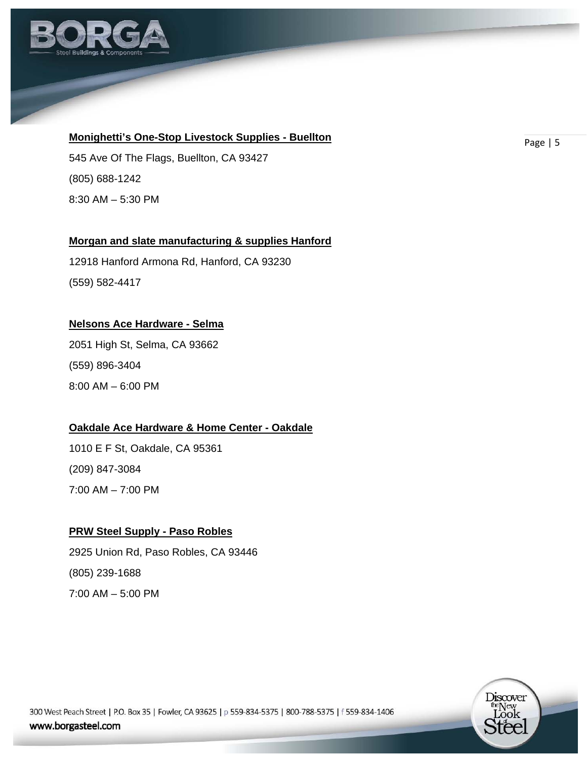

# **Monighetti's One-Stop Livestock Supplies - Buellton** *Page* **| 5**

545 Ave Of The Flags, Buellton, CA 93427 (805) 688-1242 8:30 AM – 5:30 PM

# **Morgan and slate manufacturing & supplies Hanford**

12918 Hanford Armona Rd, Hanford, CA 93230 (559) 582-4417

#### **Nelsons Ace Hardware - Selma**

2051 High St, Selma, CA 93662 (559) 896-3404 8:00 AM – 6:00 PM

# **Oakdale Ace Hardware & Home Center - Oakdale**

1010 E F St, Oakdale, CA 95361 (209) 847-3084 7:00 AM – 7:00 PM

#### **PRW Steel Supply - Paso Robles**

2925 Union Rd, Paso Robles, CA 93446 (805) 239-1688 7:00 AM – 5:00 PM

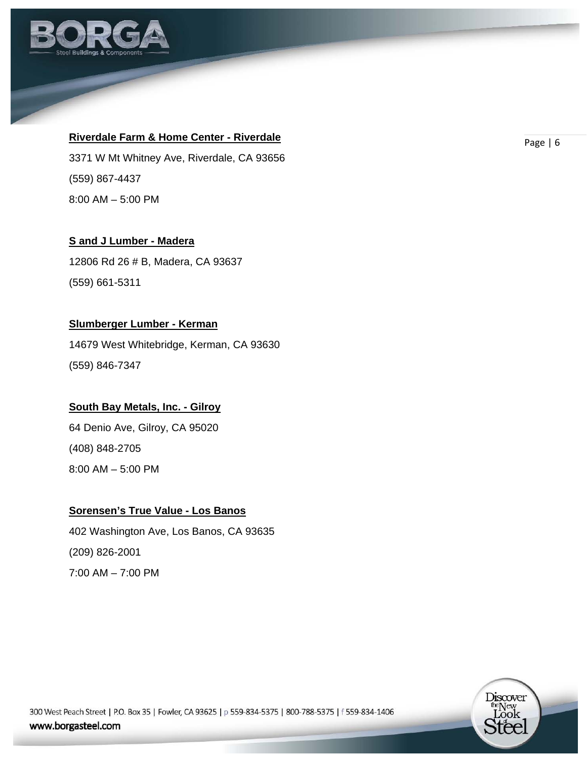

# **Riverdale Farm & Home Center - Riverdale Riverse Communication Communication** Page | 6

3371 W Mt Whitney Ave, Riverdale, CA 93656 (559) 867-4437 8:00 AM – 5:00 PM

#### **S and J Lumber - Madera**

12806 Rd 26 # B, Madera, CA 93637 (559) 661-5311

#### **Slumberger Lumber - Kerman**

14679 West Whitebridge, Kerman, CA 93630 (559) 846-7347

# **South Bay Metals, Inc. - Gilroy**

64 Denio Ave, Gilroy, CA 95020 (408) 848-2705 8:00 AM – 5:00 PM

# **Sorensen's True Value - Los Banos**

402 Washington Ave, Los Banos, CA 93635 (209) 826-2001 7:00 AM – 7:00 PM